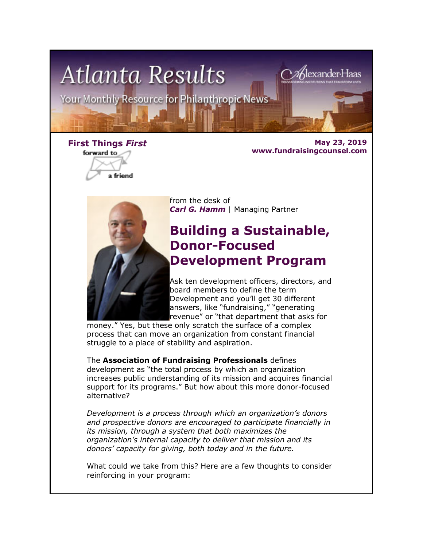

forward to

a friend

**First Things** *First* **May 23, 2019 www.fundraisingcounsel.com**



from the desk of *Carl G. Hamm* | Managing Partner

### **Building a Sustainable, Donor-Focused Development Program**

Ask ten development officers, directors, and board members to define the term Development and you'll get 30 different answers, like "fundraising," "generating revenue" or "that department that asks for

money." Yes, but these only scratch the surface of a complex process that can move an organization from constant financial struggle to a place of stability and aspiration.

The **Association of Fundraising Professionals** defines development as "the total process by which an organization increases public understanding of its mission and acquires financial support for its programs." But how about this more donor-focused alternative?

*Development is a process through which an organization's donors and prospective donors are encouraged to participate financially in its mission, through a system that both maximizes the organization's internal capacity to deliver that mission and its donors' capacity for giving, both today and in the future.*

What could we take from this? Here are a few thoughts to consider reinforcing in your program: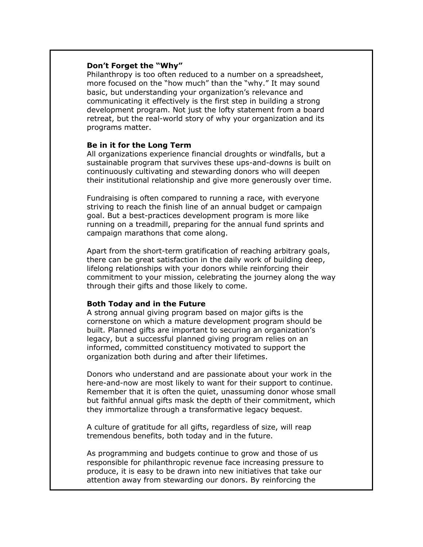#### **Don't Forget the "Why"**

Philanthropy is too often reduced to a number on a spreadsheet, more focused on the "how much" than the "why." It may sound basic, but understanding your organization's relevance and communicating it effectively is the first step in building a strong development program. Not just the lofty statement from a board retreat, but the real-world story of why your organization and its programs matter.

#### **Be in it for the Long Term**

All organizations experience financial droughts or windfalls, but a sustainable program that survives these ups-and-downs is built on continuously cultivating and stewarding donors who will deepen their institutional relationship and give more generously over time.

Fundraising is often compared to running a race, with everyone striving to reach the finish line of an annual budget or campaign goal. But a best-practices development program is more like running on a treadmill, preparing for the annual fund sprints and campaign marathons that come along.

Apart from the short-term gratification of reaching arbitrary goals, there can be great satisfaction in the daily work of building deep, lifelong relationships with your donors while reinforcing their commitment to your mission, celebrating the journey along the way through their gifts and those likely to come.

#### **Both Today and in the Future**

A strong annual giving program based on major gifts is the cornerstone on which a mature development program should be built. Planned gifts are important to securing an organization's legacy, but a successful planned giving program relies on an informed, committed constituency motivated to support the organization both during and after their lifetimes.

Donors who understand and are passionate about your work in the here-and-now are most likely to want for their support to continue. Remember that it is often the quiet, unassuming donor whose small but faithful annual gifts mask the depth of their commitment, which they immortalize through a transformative legacy bequest.

A culture of gratitude for all gifts, regardless of size, will reap tremendous benefits, both today and in the future.

As programming and budgets continue to grow and those of us responsible for philanthropic revenue face increasing pressure to produce, it is easy to be drawn into new initiatives that take our attention away from stewarding our donors. By reinforcing the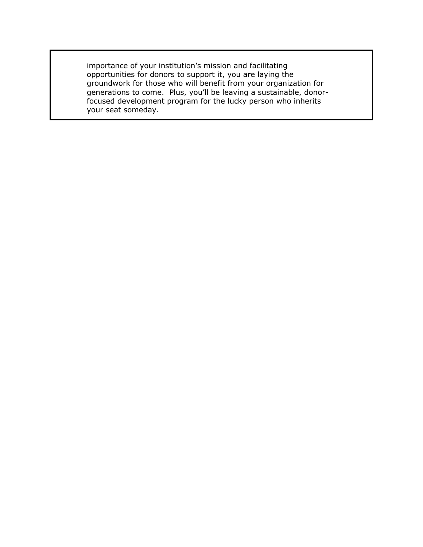importance of your institution's mission and facilitating opportunities for donors to support it, you are laying the groundwork for those who will benefit from your organization for generations to come. Plus, you'll be leaving a sustainable, donorfocused development program for the lucky person who inherits your seat someday.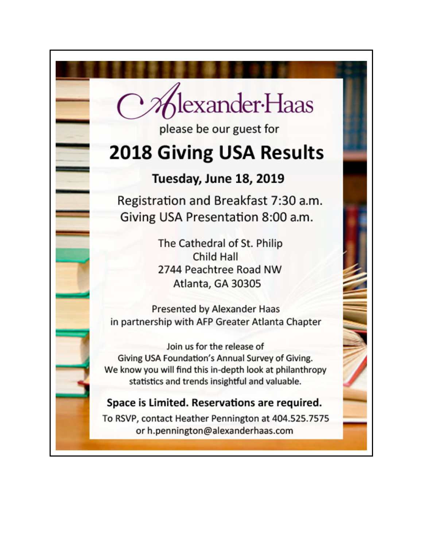lexander-Haas

please be our guest for

## **2018 Giving USA Results**

### Tuesday, June 18, 2019

Registration and Breakfast 7:30 a.m. Giving USA Presentation 8:00 a.m.

> The Cathedral of St. Philip Child Hall 2744 Peachtree Road NW Atlanta, GA 30305

Presented by Alexander Haas in partnership with AFP Greater Atlanta Chapter

Join us for the release of Giving USA Foundation's Annual Survey of Giving. We know you will find this in-depth look at philanthropy statistics and trends insightful and valuable.

### Space is Limited. Reservations are required.

To RSVP, contact Heather Pennington at 404.525.7575 or h.pennington@alexanderhaas.com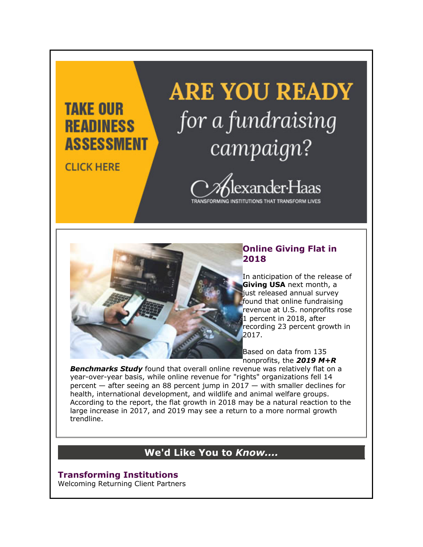### **TAKE OUR READINESS ASSESSMENT**

**CLICK HERE** 

# **ARE YOU READY** for a fundraising campaign?



### **Online Giving Flat in 2018**

In anticipation of the release of **Giving USA** next month, a just released annual survey found that online fundraising revenue at U.S. nonprofits rose 1 percent in 2018, after recording 23 percent growth in 2017.

Based on data from 135 nonprofits, the *2019 M+R* 

*Benchmarks Study* found that overall online revenue was relatively flat on a year-over-year basis, while online revenue for "rights" organizations fell 14 percent — after seeing an 88 percent jump in 2017 — with smaller declines for health, international development, and wildlife and animal welfare groups. According to the report, the flat growth in 2018 may be a natural reaction to the large increase in 2017, and 2019 may see a return to a more normal growth trendline.

### **We'd Like You to** *Know....*

### **Transforming Institutions**

Welcoming Returning Client Partners